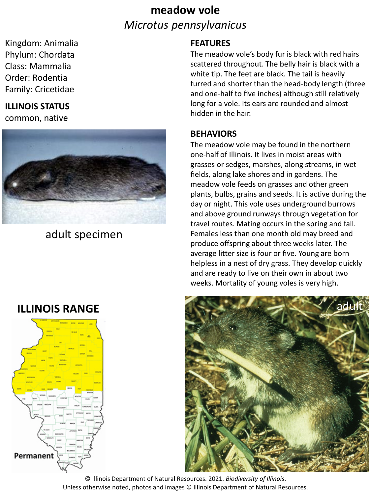# **meadow vole** *Microtus pennsylvanicus*

Kingdom: Animalia Phylum: Chordata Class: Mammalia Order: Rodentia Family: Cricetidae

## **ILLINOIS STATUS**

common, native



adult specimen

## **FEATURES**

The meadow vole's body fur is black with red hairs scattered throughout. The belly hair is black with a white tip. The feet are black. The tail is heavily furred and shorter than the head-body length (three and one-half to five inches) although still relatively long for a vole. Its ears are rounded and almost hidden in the hair.

#### **BEHAVIORS**

The meadow vole may be found in the northern one-half of Illinois. It lives in moist areas with grasses or sedges, marshes, along streams, in wet fields, along lake shores and in gardens. The meadow vole feeds on grasses and other green plants, bulbs, grains and seeds. It is active during the day or night. This vole uses underground burrows and above ground runways through vegetation for travel routes. Mating occurs in the spring and fall. Females less than one month old may breed and produce offspring about three weeks later. The average litter size is four or five. Young are born helpless in a nest of dry grass. They develop quickly and are ready to live on their own in about two weeks. Mortality of young voles is very high.



**ILLINOIS RANGE** 



© Illinois Department of Natural Resources. 2021. *Biodiversity of Illinois*. Unless otherwise noted, photos and images © Illinois Department of Natural Resources.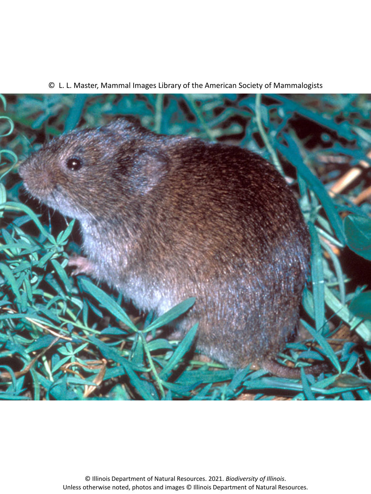



© Illinois Department of Natural Resources. 2021. *Biodiversity of Illinois*. Unless otherwise noted, photos and images © Illinois Department of Natural Resources.